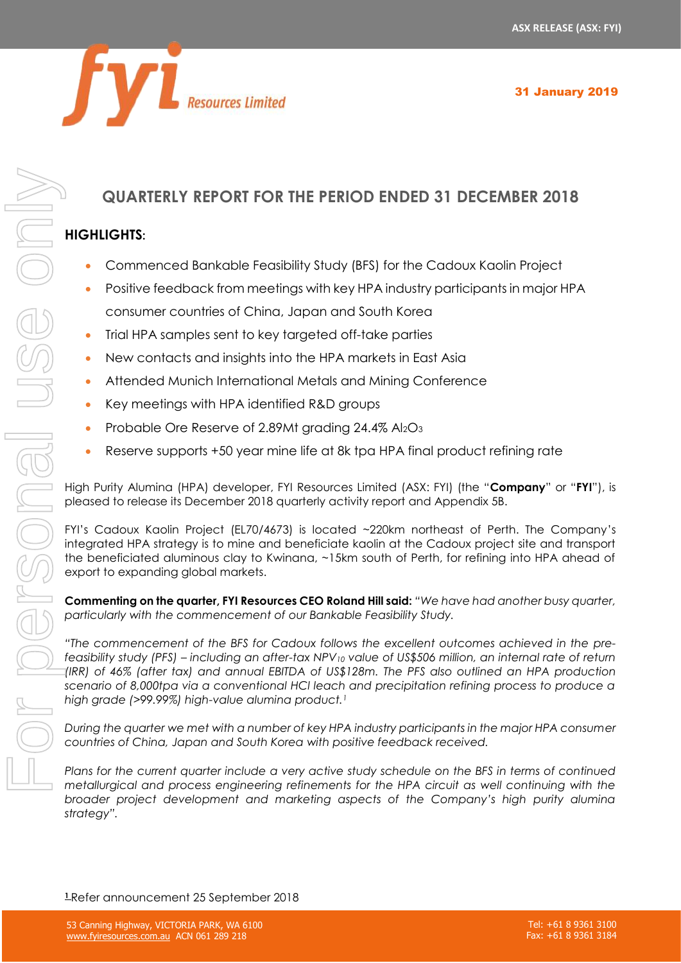

# **QUARTERLY REPORT FOR THE PERIOD ENDED 31 DECEMBER 2018**

# **HIGHLIGHTS:**

- Commenced Bankable Feasibility Study (BFS) for the Cadoux Kaolin Project
- Positive feedback from meetings with key HPA industry participants in major HPA consumer countries of China, Japan and South Korea
- Trial HPA samples sent to key targeted off-take parties
- New contacts and insights into the HPA markets in East Asia
- Attended Munich International Metals and Mining Conference
- Key meetings with HPA identified R&D groups
- Probable Ore Reserve of 2.89Mt grading 24.4% Al2O3
- Reserve supports +50 year mine life at 8k tpa HPA final product refining rate

High Purity Alumina (HPA) developer, FYI Resources Limited (ASX: FYI) (the "**Company**" or "**FYI**"), is pleased to release its December 2018 quarterly activity report and Appendix 5B.

FYI's Cadoux Kaolin Project (EL70/4673) is located ~220km northeast of Perth. The Company's integrated HPA strategy is to mine and beneficiate kaolin at the Cadoux project site and transport the beneficiated aluminous clay to Kwinana, ~15km south of Perth, for refining into HPA ahead of export to expanding global markets.

**Commenting on the quarter, FYI Resources CEO Roland Hill said:** *"We have had another busy quarter, particularly with the commencement of our Bankable Feasibility Study.*

*"The commencement of the BFS for Cadoux follows the excellent outcomes achieved in the prefeasibility study (PFS) – including an after-tax NPV<sup>10</sup> value of US\$506 million, an internal rate of return (IRR) of 46% (after tax) and annual EBITDA of US\$128m. The PFS also outlined an HPA production scenario of 8,000tpa via a conventional HCl leach and precipitation refining process to produce a high grade (>99.99%) high-value alumina product.<sup>1</sup>*

*During the quarter we met with a number of key HPA industry participants in the major HPA consumer countries of China, Japan and South Korea with positive feedback received.*

*Plans for the current quarter include a very active study schedule on the BFS in terms of continued metallurgical and process engineering refinements for the HPA circuit as well continuing with the broader project development and marketing aspects of the Company's high purity alumina strategy".*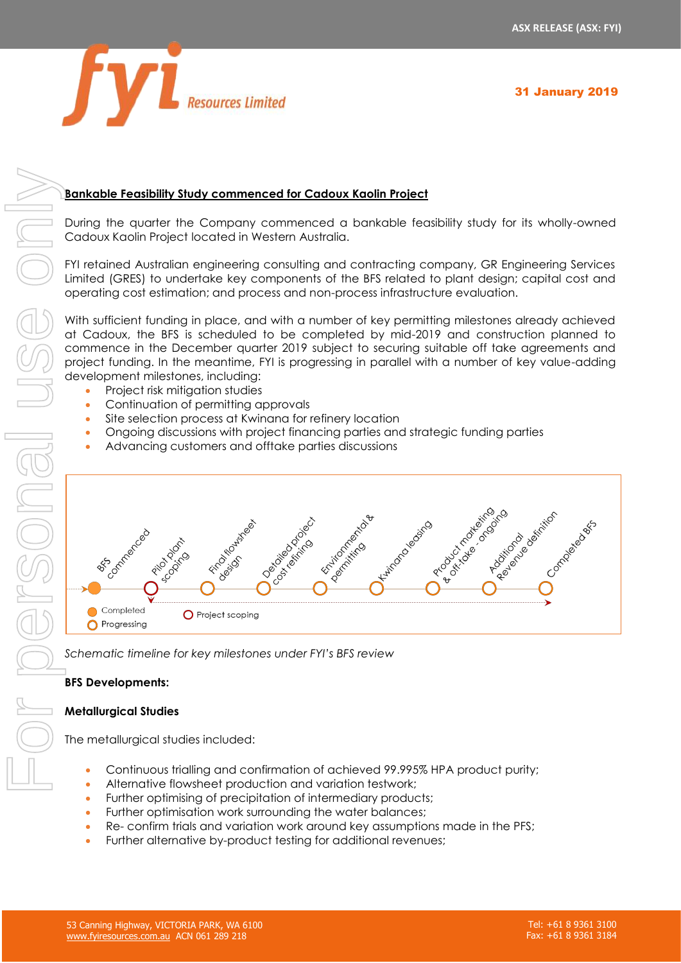

# **Bankable Feasibility Study commenced for Cadoux Kaolin Project**

During the quarter the Company commenced a bankable feasibility study for its wholly-owned Cadoux Kaolin Project located in Western Australia.

FYI retained Australian engineering consulting and contracting company, GR Engineering Services Limited (GRES) to undertake key components of the BFS related to plant design; capital cost and operating cost estimation; and process and non-process infrastructure evaluation.

With sufficient funding in place, and with a number of key permitting milestones already achieved at Cadoux, the BFS is scheduled to be completed by mid-2019 and construction planned to commence in the December quarter 2019 subject to securing suitable off take agreements and project funding. In the meantime, FYI is progressing in parallel with a number of key value-adding development milestones, including:

- Project risk mitigation studies
- Continuation of permitting approvals
- Site selection process at Kwinana for refinery location
- Ongoing discussions with project financing parties and strategic funding parties
- Advancing customers and offtake parties discussions



*Schematic timeline for key milestones under FYI's BFS review*

### **BFS Developments:**

### **Metallurgical Studies**

The metallurgical studies included:

- Continuous trialling and confirmation of achieved 99.995% HPA product purity;
- Alternative flowsheet production and variation testwork;
- Further optimising of precipitation of intermediary products;
- Further optimisation work surrounding the water balances:
- Re- confirm trials and variation work around key assumptions made in the PFS;
- Further alternative by-product testing for additional revenues;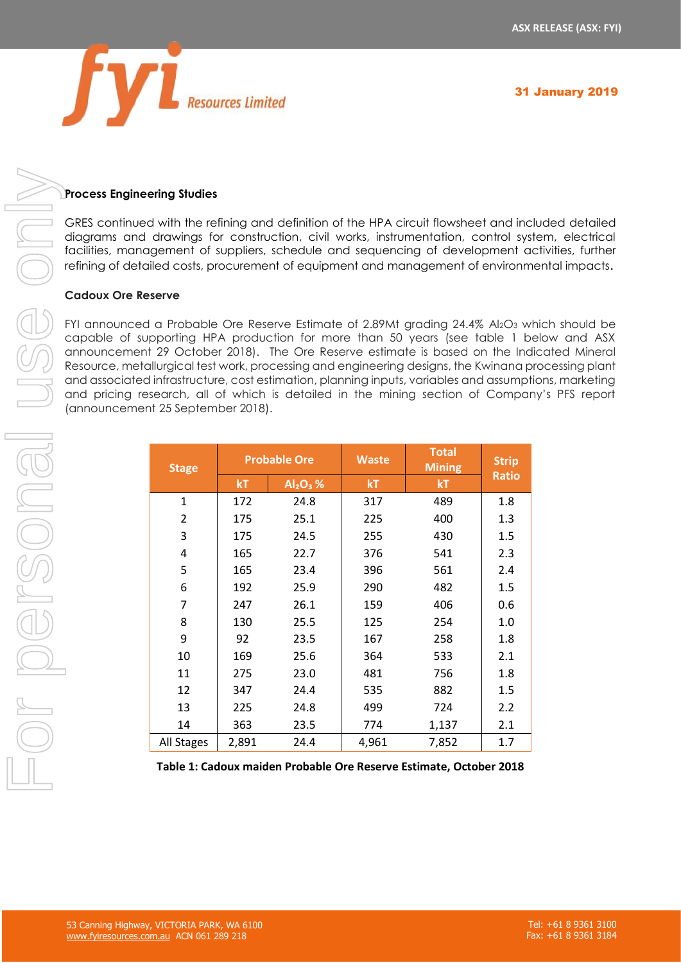

# **Process Engineering Studies**

GRES continued with the refining and definition of the HPA circuit flowsheet and included detailed diagrams and drawings for construction, civil works, instrumentation, control system, electrical facilities, management of suppliers, schedule and sequencing of development activities, further refining of detailed costs, procurement of equipment and management of environmental impacts.

### **Cadoux Ore Reserve**

FYI announced a Probable Ore Reserve Estimate of 2.89Mt grading  $24.4\%$  Al<sub>2</sub>O<sub>3</sub> which should be capable of supporting HPA production for more than 50 years (see table 1 below and ASX announcement 29 October 2018). The Ore Reserve estimate is based on the Indicated Mineral Resource, metallurgical test work, processing and engineering designs, the Kwinana processing plant and associated infrastructure, cost estimation, planning inputs, variables and assumptions, marketing and pricing research, all of which is detailed in the mining section of Company's PFS report (announcement 25 September 2018).

| <b>Stage</b> | <b>Probable Ore</b> |             | <b>Waste</b> | <b>Total</b><br><b>Mining</b> | <b>Strip</b> |
|--------------|---------------------|-------------|--------------|-------------------------------|--------------|
|              | kT                  | $Al_2O_3$ % | kT           | kT                            | <b>Ratio</b> |
| 1            | 172                 | 24.8        | 317          | 489                           | 1.8          |
| 2            | 175                 | 25.1        | 225          | 400                           | 1.3          |
| 3            | 175                 | 24.5        | 255          | 430                           | 1.5          |
| 4            | 165                 | 22.7        | 376          | 541                           | 2.3          |
| 5            | 165                 | 23.4        | 396          | 561                           | 2.4          |
| 6            | 192                 | 25.9        | 290          | 482                           | 1.5          |
| 7            | 247                 | 26.1        | 159          | 406                           | 0.6          |
| 8            | 130                 | 25.5        | 125          | 254                           | 1.0          |
| 9            | 92                  | 23.5        | 167          | 258                           | 1.8          |
| 10           | 169                 | 25.6        | 364          | 533                           | 2.1          |
| 11           | 275                 | 23.0        | 481          | 756                           | 1.8          |
| 12           | 347                 | 24.4        | 535          | 882                           | 1.5          |
| 13           | 225                 | 24.8        | 499          | 724                           | 2.2          |
| 14           | 363                 | 23.5        | 774          | 1,137                         | 2.1          |
| All Stages   | 2,891               | 24.4        | 4,961        | 7,852                         | 1.7          |

**Table 1: Cadoux maiden Probable Ore Reserve Estimate, October 2018**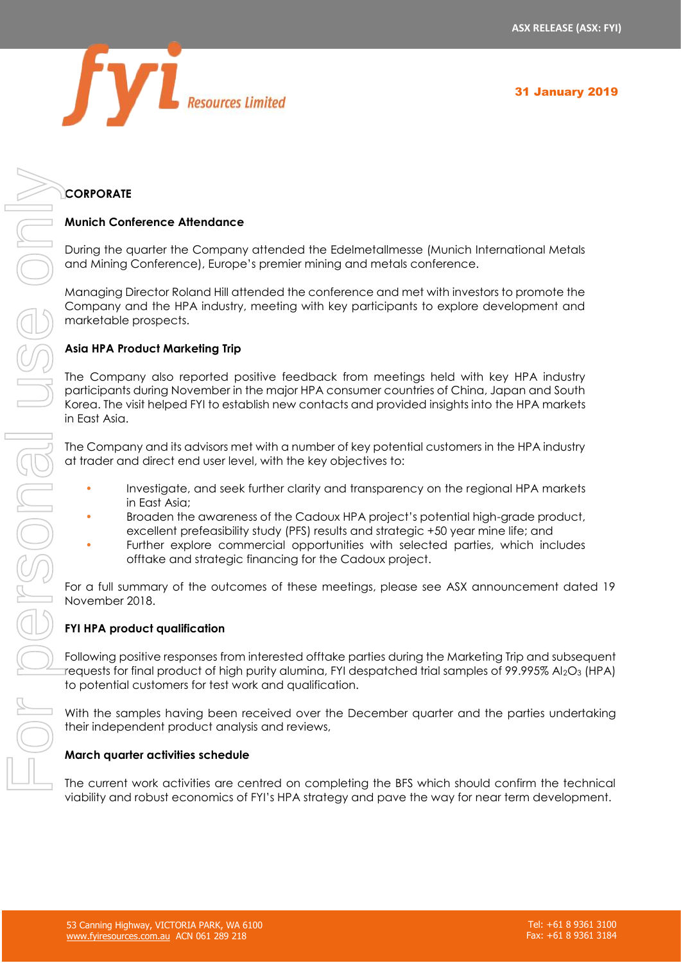

# **CORPORATE**

### **Munich Conference Attendance**

During the quarter the Company attended the Edelmetallmesse (Munich International Metals and Mining Conference), Europe's premier mining and metals conference.

Managing Director Roland Hill attended the conference and met with investors to promote the Company and the HPA industry, meeting with key participants to explore development and marketable prospects.

### **Asia HPA Product Marketing Trip**

The Company also reported positive feedback from meetings held with key HPA industry participants during November in the major HPA consumer countries of China, Japan and South Korea. The visit helped FYI to establish new contacts and provided insights into the HPA markets in East Asia.

The Company and its advisors met with a number of key potential customers in the HPA industry at trader and direct end user level, with the key objectives to:

- Investigate, and seek further clarity and transparency on the regional HPA markets in East Asia;
- Broaden the awareness of the Cadoux HPA project's potential high-grade product, excellent prefeasibility study (PFS) results and strategic +50 year mine life; and
- Further explore commercial opportunities with selected parties, which includes offtake and strategic financing for the Cadoux project.

For a full summary of the outcomes of these meetings, please see ASX announcement dated 19 November 2018.

### **FYI HPA product qualification**

Following positive responses from interested offtake parties during the Marketing Trip and subsequent requests for final product of high purity alumina, FYI despatched trial samples of 99.995% Al2O3 (HPA) to potential customers for test work and qualification.

With the samples having been received over the December quarter and the parties undertaking their independent product analysis and reviews,

### **March quarter activities schedule**

viability and robust economics of FYI's HPA strategy and pave the way for near term development.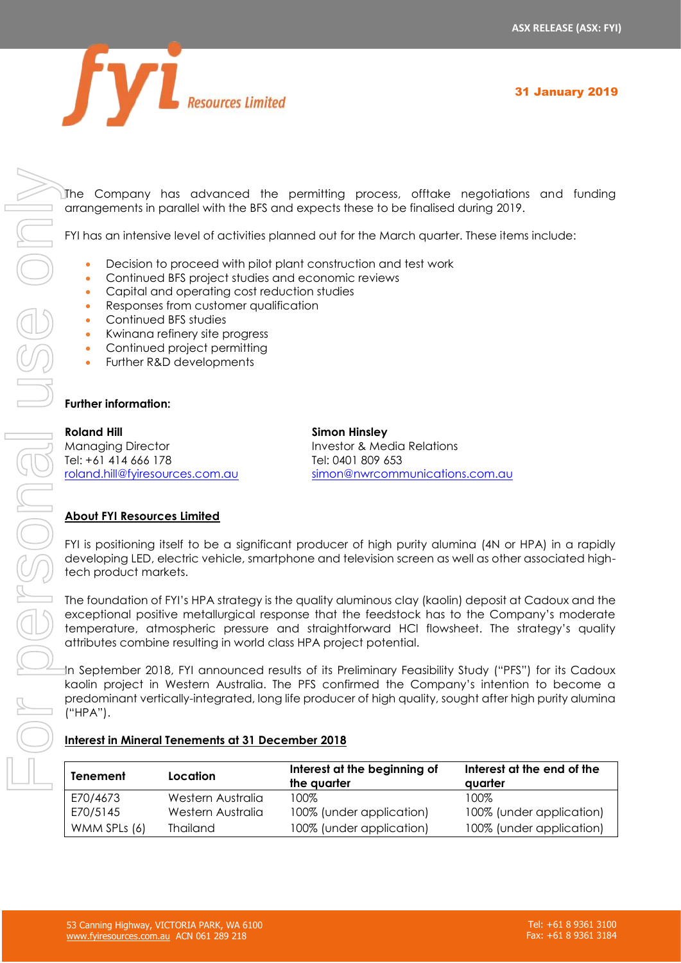

The Company has advanced the permitting process, offtake negotiations and funding arrangements in parallel with the BFS and expects these to be finalised during 2019.

FYI has an intensive level of activities planned out for the March quarter. These items include:

- Decision to proceed with pilot plant construction and test work
- Continued BFS project studies and economic reviews
- Capital and operating cost reduction studies
- Responses from customer qualification
- Continued BFS studies
- Kwinana refinery site progress
- Continued project permitting
- Further R&D developments

### **Further information:**

**Roland Hill Simon Hinsley** Managing Director Investor & Media Relations Tel: +61 414 666 178 Tel: 0401 809 653

[roland.hill@fyiresources.com.au](mailto:roland.hill@fyiresources.com.au) [simon@nwrcommunications.com.au](mailto:simon@nwrcommunications.com.au)

# **About FYI Resources Limited**

FYI is positioning itself to be a significant producer of high purity alumina (4N or HPA) in a rapidly developing LED, electric vehicle, smartphone and television screen as well as other associated hightech product markets.

The foundation of FYI's HPA strategy is the quality aluminous clay (kaolin) deposit at Cadoux and the exceptional positive metallurgical response that the feedstock has to the Company's moderate temperature, atmospheric pressure and straightforward HCl flowsheet. The strategy's quality attributes combine resulting in world class HPA project potential.

In September 2018, FYI announced results of its Preliminary Feasibility Study ("PFS") for its Cadoux kaolin project in Western Australia. The PFS confirmed the Company's intention to become a predominant vertically-integrated, long life producer of high quality, sought after high purity alumina ("HPA").

| Tenement     | Location          | Interest at the beginning of<br>the quarter | Interest at the end of the<br>avarter |
|--------------|-------------------|---------------------------------------------|---------------------------------------|
| E70/4673     | Western Australia | 100%                                        | 100%                                  |
| E70/5145     | Western Australia | 100% (under application)                    | 100% (under application)              |
| WMM SPLs (6) | <b>Thailand</b>   | 100% (under application)                    | 100% (under application)              |

### **Interest in Mineral Tenements at 31 December 2018**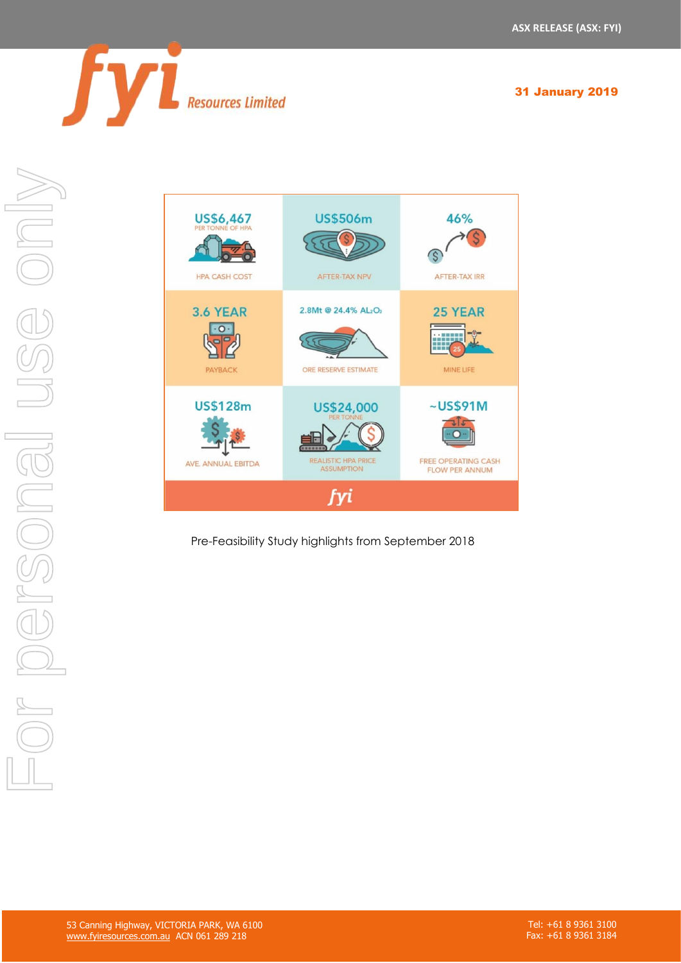



Pre-Feasibility Study highlights from September 2018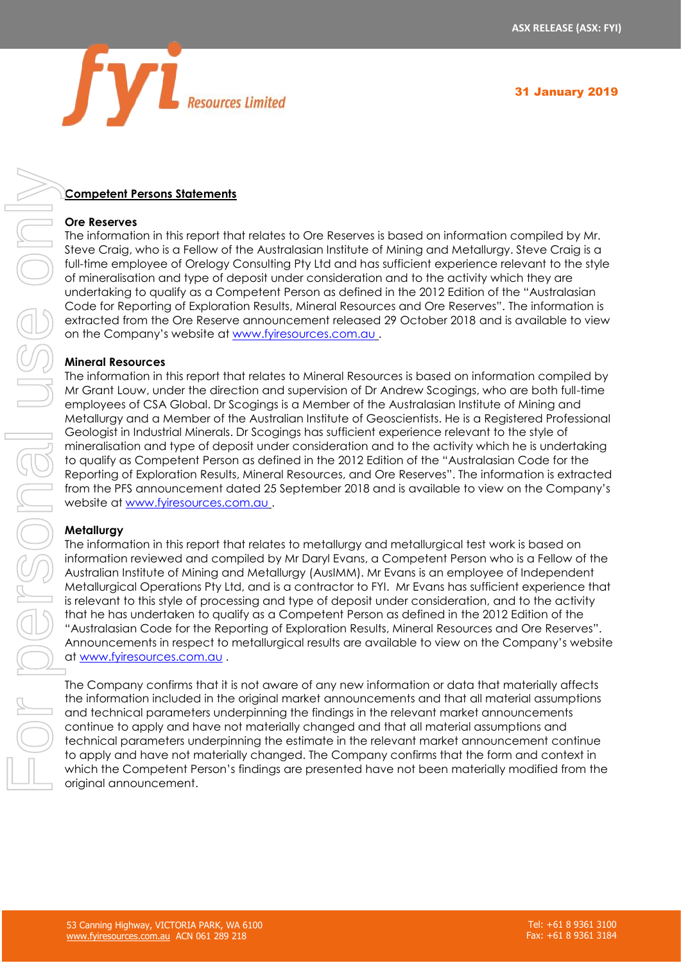

# **Competent Persons Statements**

### **Ore Reserves**

The information in this report that relates to Ore Reserves is based on information compiled by Mr. Steve Craig, who is a Fellow of the Australasian Institute of Mining and Metallurgy. Steve Craig is a full-time employee of Orelogy Consulting Pty Ltd and has sufficient experience relevant to the style of mineralisation and type of deposit under consideration and to the activity which they are undertaking to qualify as a Competent Person as defined in the 2012 Edition of the "Australasian Code for Reporting of Exploration Results, Mineral Resources and Ore Reserves". The information is extracted from the Ore Reserve announcement released 29 October 2018 and is available to view on the Company's website at [www.fyiresources.com.au](http://www.fyiresources.com.au/) .

### **Mineral Resources**

The information in this report that relates to Mineral Resources is based on information compiled by Mr Grant Louw, under the direction and supervision of Dr Andrew Scogings, who are both full-time employees of CSA Global. Dr Scogings is a Member of the Australasian Institute of Mining and Metallurgy and a Member of the Australian Institute of Geoscientists. He is a Registered Professional Geologist in Industrial Minerals. Dr Scogings has sufficient experience relevant to the style of mineralisation and type of deposit under consideration and to the activity which he is undertaking to qualify as Competent Person as defined in the 2012 Edition of the "Australasian Code for the Reporting of Exploration Results, Mineral Resources, and Ore Reserves". The information is extracted from the PFS announcement dated 25 September 2018 and is available to view on the Company's website at [www.fyiresources.com.au](http://www.fyiresources.com.au/) . **Competent Person Statements**<br>
The Information in this nepot then use to be Reserves a beased on information compiled by Ms.<br>
The Competent Person of the Authroride in the Minimum of the Authroride from the Competent Perso

### **Metallurgy**

The information in this report that relates to metallurgy and metallurgical test work is based on information reviewed and compiled by Mr Daryl Evans, a Competent Person who is a Fellow of the Australian Institute of Mining and Metallurgy (AusIMM). Mr Evans is an employee of Independent Metallurgical Operations Pty Ltd, and is a contractor to FYI. Mr Evans has sufficient experience that is relevant to this style of processing and type of deposit under consideration, and to the activity that he has undertaken to qualify as a Competent Person as defined in the 2012 Edition of the "Australasian Code for the Reporting of Exploration Results, Mineral Resources and Ore Reserves". Announcements in respect to metallurgical results are available to view on the Company's website at [www.fyiresources.com.au](http://www.fyiresources.com.au/) .

The Company confirms that it is not aware of any new information or data that materially affects the information included in the original market announcements and that all material assumptions and technical parameters underpinning the findings in the relevant market announcements continue to apply and have not materially changed and that all material assumptions and technical parameters underpinning the estimate in the relevant market announcement continue to apply and have not materially changed. The Company confirms that the form and context in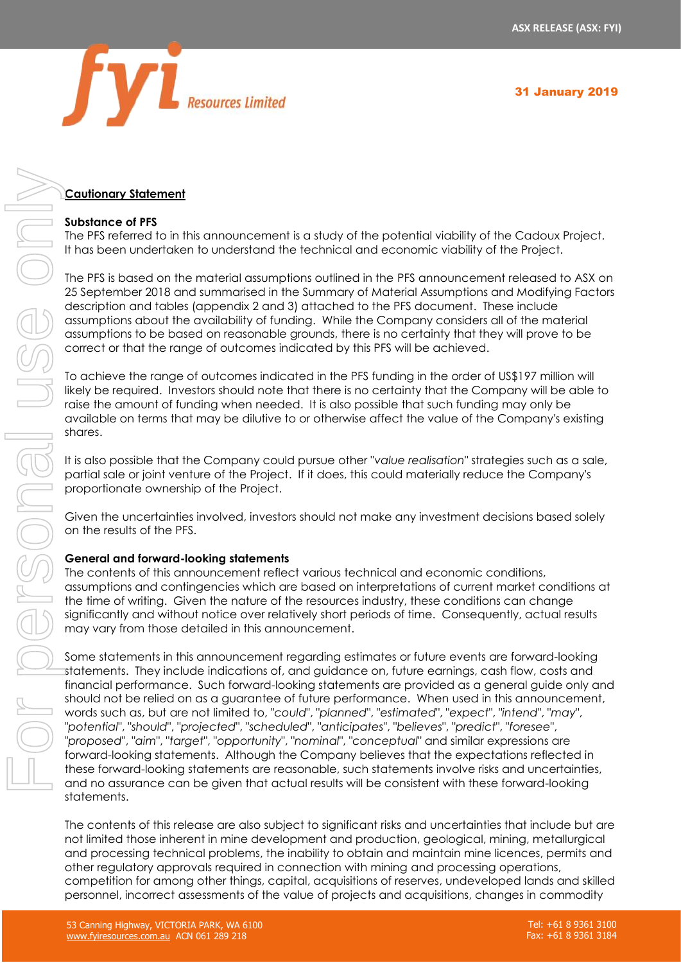

# **Cautionary Statement**

### **Substance of PFS**

The PFS referred to in this announcement is a study of the potential viability of the Cadoux Project. It has been undertaken to understand the technical and economic viability of the Project.

The PFS is based on the material assumptions outlined in the PFS announcement released to ASX on 25 September 2018 and summarised in the Summary of Material Assumptions and Modifying Factors description and tables (appendix 2 and 3) attached to the PFS document. These include assumptions about the availability of funding. While the Company considers all of the material assumptions to be based on reasonable grounds, there is no certainty that they will prove to be correct or that the range of outcomes indicated by this PFS will be achieved.

To achieve the range of outcomes indicated in the PFS funding in the order of US\$197 million will likely be required. Investors should note that there is no certainty that the Company will be able to raise the amount of funding when needed. It is also possible that such funding may only be available on terms that may be dilutive to or otherwise affect the value of the Company's existing shares.

It is also possible that the Company could pursue other "*value realisation*" strategies such as a sale, partial sale or joint venture of the Project. If it does, this could materially reduce the Company's proportionate ownership of the Project.

Given the uncertainties involved, investors should not make any investment decisions based solely on the results of the PFS.

### **General and forward-looking statements**

The contents of this announcement reflect various technical and economic conditions, assumptions and contingencies which are based on interpretations of current market conditions at the time of writing. Given the nature of the resources industry, these conditions can change significantly and without notice over relatively short periods of time. Consequently, actual results may vary from those detailed in this announcement.

Some statements in this announcement regarding estimates or future events are forward-looking statements. They include indications of, and guidance on, future earnings, cash flow, costs and financial performance. Such forward-looking statements are provided as a general guide only and should not be relied on as a guarantee of future performance. When used in this announcement, words such as, but are not limited to, "*could*", "*planned*", "*estimated*", "*expect*", "*intend*", "*may*", "*potential*", "*should*", "*projected*", "*scheduled*", "*anticipates*", "*believes*", "*predict*", "*foresee*", "*proposed*", "*aim*", "*target*", "*opportunity*", "*nominal*", "*conceptual*" and similar expressions are forward-looking statements. Although the Company believes that the expectations reflected in these forward-looking statements are reasonable, such statements involve risks and uncertainties, and no assurance can be given that actual results will be consistent with these forward-looking statements. **Coutiener, statement**<br>
Substitute of the value of the value of the value of the value of the value of the value of the value of the value of the value of the value of the value of the value of the value of the value of th

The contents of this release are also subject to significant risks and uncertainties that include but are not limited those inherent in mine development and production, geological, mining, metallurgical and processing technical problems, the inability to obtain and maintain mine licences, permits and other regulatory approvals required in connection with mining and processing operations, competition for among other things, capital, acquisitions of reserves, undeveloped lands and skilled